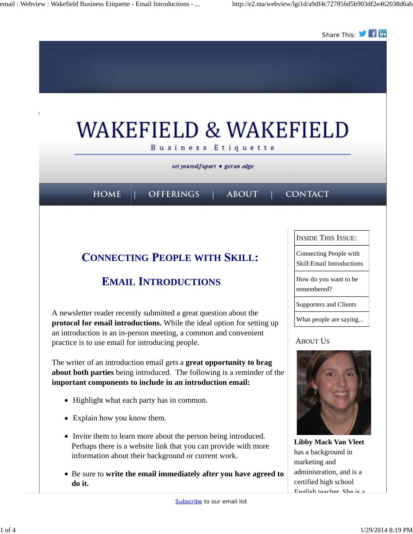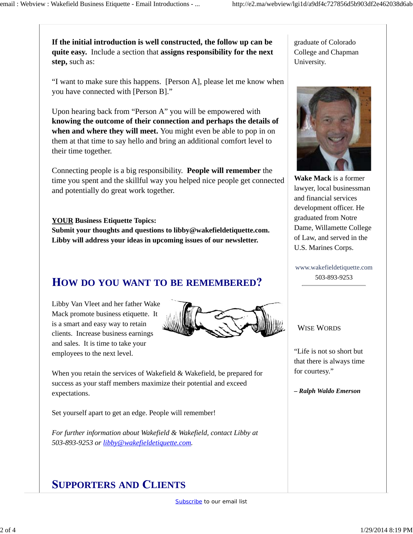**If the initial introduction is well constructed, the follow up can be quite easy.** Include a section that **assigns responsibility for the next step,** such as:

"I want to make sure this happens. [Person A], please let me know when you have connected with [Person B]."

Upon hearing back from "Person A" you will be empowered with **knowing the outcome of their connection and perhaps the details of when and where they will meet.** You might even be able to pop in on them at that time to say hello and bring an additional comfort level to their time together.

Connecting people is a big responsibility. **People will remember** the time you spent and the skillful way you helped nice people get connected and potentially do great work together.

**YOUR Business Etiquette Topics: Submit your thoughts and questions to libby@wakefieldetiquette.com. Libby will address your ideas in upcoming issues of our newsletter.**

# **OW DO YOU WANT TO BE REMEMBERED**

Libby Van Vleet and her father Wake Mack promote business etiquette. It is a smart and easy way to retain clients. Increase business earnings and sales. It is time to take your employees to the next level.



When you retain the services of Wakefield & Wakefield, be prepared for success as your staff members maximize their potential and exceed expectations.

Set yourself apart to get an edge. People will remember!

*For further information about Wakefield & Wakefield, contact Libby at 503-893-9253 or libby@wakefieldetiquette.com.*

## **UPPORTERS AND LIENTS**

graduate of Colorado College and Chapman University.



**Wake Mack** is a former lawyer, local businessman and financial services development officer. He graduated from Notre Dame, Willamette College of Law, and served in the U.S. Marines Corps.

www.wakefieldetiquette.com 503-893-9253

#### WISE WORDS

"Life is not so short but that there is always time for courtesy."

*– Ralph Waldo Emerson*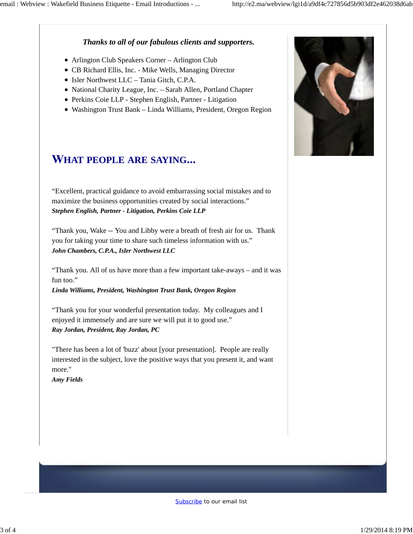#### *Thanks to all of our fabulous clients and supporters.*

- Arlington Club Speakers Corner Arlington Club
- CB Richard Ellis, Inc. Mike Wells, Managing Director
- Isler Northwest LLC Tania Gitch, C.P.A.
- National Charity League, Inc. Sarah Allen, Portland Chapter
- Perkins Coie LLP Stephen English, Partner Litigation
- Washington Trust Bank Linda Williams, President, Oregon Region

### **HAT PEOPLE ARE SAYING**

"Excellent, practical guidance to avoid embarrassing social mistakes and to maximize the business opportunities created by social interactions." *Stephen English, Partner - Litigation, Perkins Coie LLP*

"Thank you, Wake -- You and Libby were a breath of fresh air for us. Thank you for taking your time to share such timeless information with us." *John Chambers, C.P.A., Isler Northwest LLC*

"Thank you. All of us have more than a few important take-aways – and it was fun too."

*Linda Williams, President, Washington Trust Bank, Oregon Region*

"Thank you for your wonderful presentation today. My colleagues and I enjoyed it immensely and are sure we will put it to good use." *Ray Jordan, President, Ray Jordan, PC*

"There has been a lot of 'buzz' about [your presentation]. People are really interested in the subject, love the positive ways that you present it, and want more."

*Amy Fields*



Subscribe to our email list